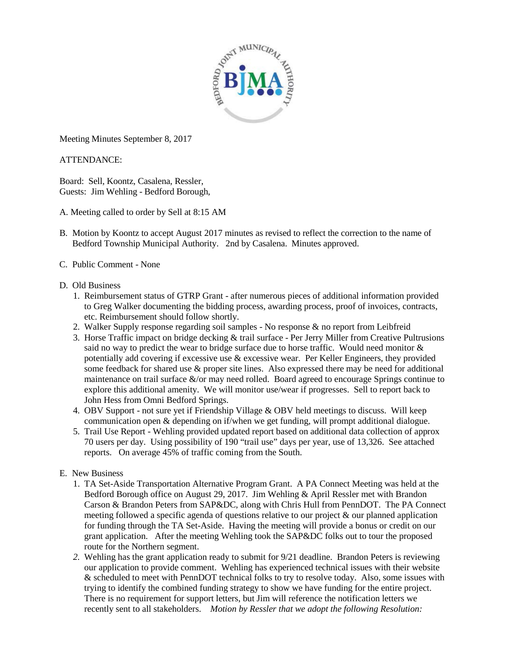

Meeting Minutes September 8, 2017

## ATTENDANCE:

Board: Sell, Koontz, Casalena, Ressler, Guests: Jim Wehling - Bedford Borough,

- A. Meeting called to order by Sell at 8:15 AM
- B. Motion by Koontz to accept August 2017 minutes as revised to reflect the correction to the name of Bedford Township Municipal Authority. 2nd by Casalena. Minutes approved.
- C. Public Comment None

## D. Old Business

- 1. Reimbursement status of GTRP Grant after numerous pieces of additional information provided to Greg Walker documenting the bidding process, awarding process, proof of invoices, contracts, etc. Reimbursement should follow shortly.
- 2. Walker Supply response regarding soil samples No response & no report from Leibfreid
- 3. Horse Traffic impact on bridge decking & trail surface Per Jerry Miller from Creative Pultrusions said no way to predict the wear to bridge surface due to horse traffic. Would need monitor & potentially add covering if excessive use  $\&$  excessive wear. Per Keller Engineers, they provided some feedback for shared use & proper site lines. Also expressed there may be need for additional maintenance on trail surface &/or may need rolled. Board agreed to encourage Springs continue to explore this additional amenity. We will monitor use/wear if progresses. Sell to report back to John Hess from Omni Bedford Springs.
- 4. OBV Support not sure yet if Friendship Village & OBV held meetings to discuss. Will keep communication open & depending on if/when we get funding, will prompt additional dialogue.
- 5. Trail Use Report Wehling provided updated report based on additional data collection of approx 70 users per day. Using possibility of 190 "trail use" days per year, use of 13,326. See attached reports. On average 45% of traffic coming from the South.

## E. New Business

- 1. TA Set-Aside Transportation Alternative Program Grant. A PA Connect Meeting was held at the Bedford Borough office on August 29, 2017. Jim Wehling & April Ressler met with Brandon Carson & Brandon Peters from SAP&DC, along with Chris Hull from PennDOT. The PA Connect meeting followed a specific agenda of questions relative to our project & our planned application for funding through the TA Set-Aside. Having the meeting will provide a bonus or credit on our grant application. After the meeting Wehling took the SAP&DC folks out to tour the proposed route for the Northern segment.
- *2.* Wehling has the grant application ready to submit for 9/21 deadline. Brandon Peters is reviewing our application to provide comment. Wehling has experienced technical issues with their website & scheduled to meet with PennDOT technical folks to try to resolve today. Also, some issues with trying to identify the combined funding strategy to show we have funding for the entire project. There is no requirement for support letters, but Jim will reference the notification letters we recently sent to all stakeholders. *Motion by Ressler that we adopt the following Resolution:*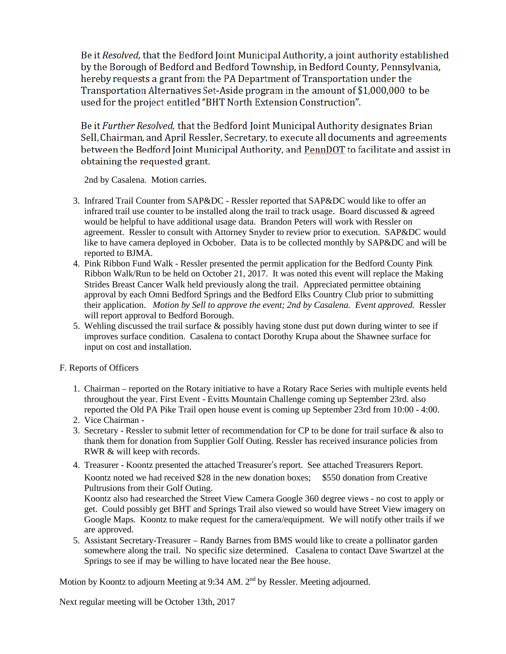Be it Resolved, that the Bedford Joint Municipal Authority, a joint authority established by the Borough of Bedford and Bedford Township, in Bedford County, Pennsylvania, hereby requests a grant from the PA Department of Transportation under the Transportation Alternatives Set-Aside program in the amount of \$1,000,000 to be used for the project entitled "BHT North Extension Construction".

Be it Further Resolved, that the Bedford Joint Municipal Authority designates Brian Sell, Chairman, and April Ressler, Secretary, to execute all documents and agreements between the Bedford Joint Municipal Authority, and PennDOT to facilitate and assist in obtaining the requested grant.

2nd by Casalena. Motion carries.

- 3. Infrared Trail Counter from SAP&DC Ressler reported that SAP&DC would like to offer an infrared trail use counter to be installed along the trail to track usage. Board discussed  $\&$  agreed would be helpful to have additional usage data. Brandon Peters will work with Ressler on agreement. Ressler to consult with Attorney Snyder to review prior to execution. SAP&DC would like to have camera deployed in Ocbober. Data is to be collected monthly by SAP&DC and will be reported to BJMA.
- 4. Pink Ribbon Fund Walk Ressler presented the permit application for the Bedford County Pink Ribbon Walk/Run to be held on October 21, 2017. It was noted this event will replace the Making Strides Breast Cancer Walk held previously along the trail. Appreciated permittee obtaining approval by each Omni Bedford Springs and the Bedford Elks Country Club prior to submitting their application. *Motion by Sell to approve the event; 2nd by Casalena. Event approved.* Ressler will report approval to Bedford Borough.
- 5. Wehling discussed the trail surface & possibly having stone dust put down during winter to see if improves surface condition. Casalena to contact Dorothy Krupa about the Shawnee surface for input on cost and installation.
- F. Reports of Officers
	- 1. Chairman reported on the Rotary initiative to have a Rotary Race Series with multiple events held throughout the year. First Event - Evitts Mountain Challenge coming up September 23rd. also reported the Old PA Pike Trail open house event is coming up September 23rd from 10:00 - 4:00.
	- 2. Vice Chairman -
	- 3. Secretary Ressler to submit letter of recommendation for CP to be done for trail surface & also to thank them for donation from Supplier Golf Outing. Ressler has received insurance policies from RWR & will keep with records.
	- 4. Treasurer Koontz presented the attached Treasurer's report. See attached Treasurers Report. Koontz noted we had received \$28 in the new donation boxes; \$550 donation from Creative Pultrusions from their Golf Outing.

Koontz also had researched the Street View Camera Google 360 degree views - no cost to apply or get. Could possibly get BHT and Springs Trail also viewed so would have Street View imagery on Google Maps. Koontz to make request for the camera/equipment. We will notify other trails if we are approved.

5. Assistant Secretary-Treasurer – Randy Barnes from BMS would like to create a pollinator garden somewhere along the trail. No specific size determined. Casalena to contact Dave Swartzel at the Springs to see if may be willing to have located near the Bee house.

Motion by Koontz to adjourn Meeting at 9:34 AM. 2<sup>nd</sup> by Ressler. Meeting adjourned.

Next regular meeting will be October 13th, 2017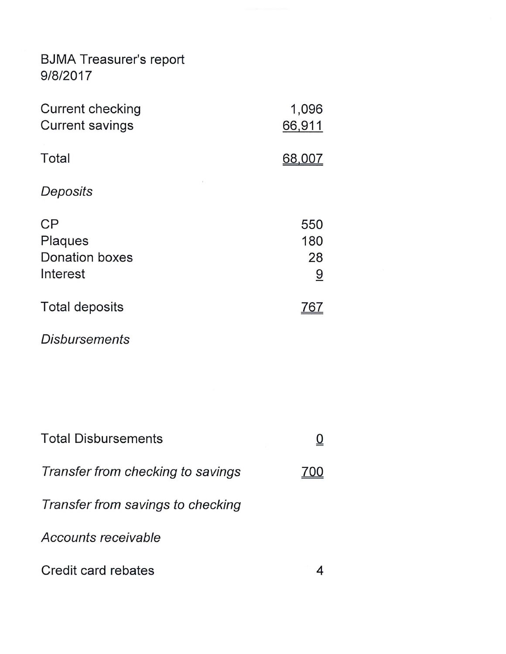## BJMA Treasurer's report<br>9/8/2017

| <b>Current checking</b><br><b>Current savings</b>         | 1,096<br>66,911                             |
|-----------------------------------------------------------|---------------------------------------------|
| Total                                                     | 68.0                                        |
| Deposits                                                  |                                             |
| CP<br><b>Plaques</b><br><b>Donation boxes</b><br>Interest | 550<br>180<br>28<br>$\overline{\mathsf{a}}$ |
| <b>Total deposits</b>                                     |                                             |

**Disbursements** 

| <b>Total Disbursements</b>        |  |
|-----------------------------------|--|
| Transfer from checking to savings |  |
| Transfer from savings to checking |  |
| Accounts receivable               |  |
| Credit card rebates               |  |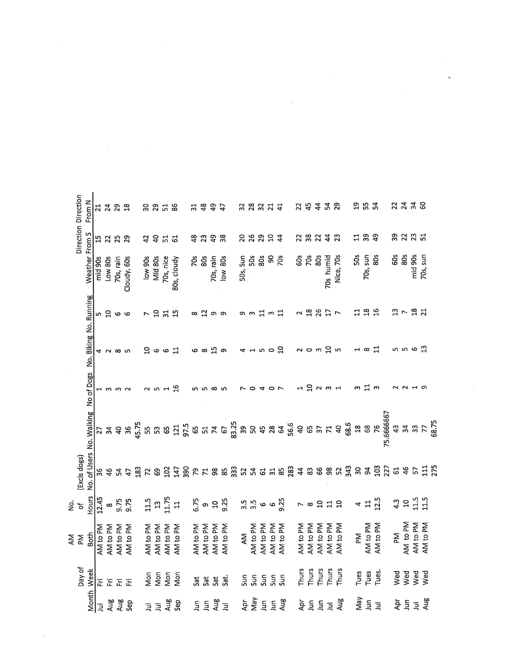|                  | Direction Direction<br>From N       | 21                  | 24 28           |              |                          |                |                | ន ន ដ ន                           |             | 3148           |     | 49        | 47                                           | <b>38354</b>                                                        |            |          |                |                    | 254522    |                     |          |                |                         |              | <b>954</b>                      |          |            |     | 23.388                                  |                |                     |     |  |  |
|------------------|-------------------------------------|---------------------|-----------------|--------------|--------------------------|----------------|----------------|-----------------------------------|-------------|----------------|-----|-----------|----------------------------------------------|---------------------------------------------------------------------|------------|----------|----------------|--------------------|-----------|---------------------|----------|----------------|-------------------------|--------------|---------------------------------|----------|------------|-----|-----------------------------------------|----------------|---------------------|-----|--|--|
|                  |                                     | 15                  | 25 29           |              |                          |                |                | <b>3 3 2 2</b>                    |             | 48<br>23       |     | 49        | 38                                           | 88994                                                               |            |          |                |                    | 23233     |                     |          |                |                         |              | 7.89                            |          |            |     |                                         |                |                     |     |  |  |
|                  | Weather From S                      | mid 90s             | Low 80s         | 70s, rain    | Cloudy, 60s              | low 90s        | Mid 80s        | 70s, nice                         | 80s, cloudy | 70s            | 80s | 70s, rain | low 80s                                      | $\overline{5}$ $\overline{5}$ $\overline{8}$ $\overline{8}$<br>50s, |            |          | 90             | 70s                | 60s       | 70s                 | 80s      | 70s humid      | Nice, 70s               | 50s          | $rac{5}{8}$<br>70s,             |          |            | 60s | 80s                                     | mid 90s        | 70s, sun            |     |  |  |
|                  | No. Biking No. Running              |                     | င္ကာ ဖ          |              |                          | r 5            |                | $\frac{1}{2}$                     |             | $\infty$ შ თ თ |     |           |                                              |                                                                     |            |          |                | <b>이</b> w 깁 w 깁   | 2 路 2 1 7 |                     |          |                |                         | $\mathbf{1}$ | 28                              |          |            |     | $\begin{array}{c} 25 \\ 25 \end{array}$ |                |                     |     |  |  |
|                  |                                     |                     | <b>4 2 8 10</b> |              |                          |                |                | 9007                              |             |                |     |           | ဖ ထ ပ္ပုံ စ                                  | $4 - 50$                                                            |            |          |                |                    |           |                     |          |                | ៷៰៳ៜ៷                   |              | $\overline{u}$ a $\overline{u}$ |          |            |     | n n o m                                 |                |                     |     |  |  |
|                  |                                     |                     | 1332<br>143     |              |                          |                |                | $\sim$ 10 $\sim$ 19               |             |                |     | ທ ທ ∞ ທ   |                                              |                                                                     | $\circ$    | 4        | $\circ$ $\sim$ |                    |           |                     |          | 1 9 2 m 1      |                         |              | m I m                           |          |            |     | $N$ $N$ $\pi$ $\varpi$                  |                |                     |     |  |  |
|                  | No. of Users No. Walking No of Dogs |                     |                 |              |                          |                |                |                                   |             |                |     |           |                                              |                                                                     |            |          |                |                    |           |                     |          |                |                         |              |                                 |          | 75.6666667 |     | 43 37 5<br>24 37 5                      |                |                     |     |  |  |
|                  | (Excls dogs)                        |                     |                 | 454          |                          |                |                |                                   |             |                |     |           |                                              |                                                                     |            |          |                |                    |           |                     |          |                |                         |              |                                 |          |            |     |                                         |                | 吕                   | 275 |  |  |
| $\frac{6}{5}$    | Hours                               | 12.45               | $\infty$        | 9.75<br>9.75 |                          |                |                | $13 - 5$<br>$13 - 5$<br>$13 - 12$ |             |                |     |           | 6.75<br>9.25<br>9.25                         |                                                                     |            |          |                | 3.5<br>3.9<br>9.25 |           |                     |          |                | 78 22 23                |              | 47.5                            |          |            |     | 4.3                                     |                | $\frac{15}{11}$     |     |  |  |
| N<br>P<br>N<br>P | Both                                | AM <sub>to PM</sub> | AM to PM        | AM to PM     | AM to PM                 | AM to PM       | AM to PM       | AM to PM                          | AM to PM    |                |     |           | AM to PM<br>AM to PM<br>AM to PM<br>AM to PM | AM                                                                  | AM to PM   | AM to PM | AM to PM       | AM to PM           | AM to PM  | AM <sub>to PM</sub> | AM to PM | AM to PM       | AM to PM                | ΣĀ           | AM to PM                        | AM to PM |            | ΣĀ  | AM to PM                                | AM to PM       | AM <sub>to PM</sub> |     |  |  |
|                  | Day of<br>Week                      |                     | 医足足足            |              |                          | Mon            | Mon            | Mon                               | Mon         | Sat            | Sat | Sat       | Sat.                                         | Sun                                                                 | Sun        |          |                | <u>ទ</u> ្ធ ទ្ធ    | Thurs     | Thurs               |          |                | Thurs<br>Thurs<br>Thurs | Tues         | Tues                            | Tues.    |            | Wed | Wed                                     | Wed            | Wed                 |     |  |  |
|                  | Month                               | $\overline{B}$      |                 |              | <b>Aug</b><br>Aug<br>Sep | $\overline{z}$ | $\overline{z}$ |                                   | Aug<br>Sep  | Ξ              | Ξ   |           | 모<br>모두                                      |                                                                     | Apr<br>May |          | 55             | Aug                | ĀÞ        | $\overline{5}$      | Ξ        | $\overline{a}$ | Aug                     |              | n<br>E E Z                      |          |            |     | 후트                                      | $\overline{B}$ | Aug                 |     |  |  |

 $\label{eq:2.1} \frac{1}{\sqrt{2\pi}}\int_{0}^{\infty}\frac{1}{\sqrt{2\pi}}\left(\frac{1}{\sqrt{2\pi}}\right)^{2\pi}d\mu_{\rm{max}}\,d\mu_{\rm{max}}$ 

 $\mathbf{x}^{(i)}$ 

 $\label{eq:2.1} y = \frac{1}{2} \int_{0}^{1} \frac{1}{\sqrt{2}} \, \mathrm{d} x \, \mathrm{d} y$ 

 $\label{eq:R1} R_{\rm eff} = \frac{1}{\sqrt{2}} \left( \frac{1}{\sqrt{2}} \right)^{1/2} \left( \frac{1}{\sqrt{2}} \right)^{1/2} \left( \frac{1}{\sqrt{2}} \right)^{1/2} \left( \frac{1}{\sqrt{2}} \right)^{1/2} \left( \frac{1}{\sqrt{2}} \right)^{1/2} \left( \frac{1}{\sqrt{2}} \right)^{1/2} \left( \frac{1}{\sqrt{2}} \right)^{1/2} \left( \frac{1}{\sqrt{2}} \right)^{1/2} \left( \frac{1}{\sqrt{2}} \right)^{1/2} \left( \frac{$ 

 $\sim$